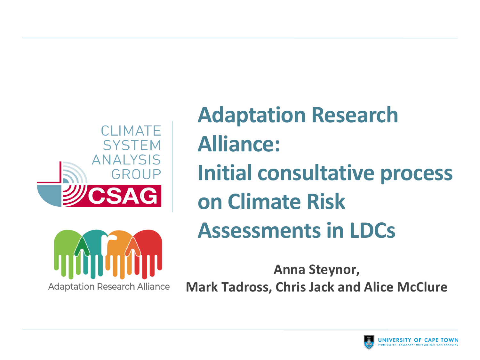

# **Adaptation Research Alliance: Initial consultative process on Climate Risk Assessments in LDCs**



**Anna Steynor, Mark Tadross, Chris Jack and Alice McClure**

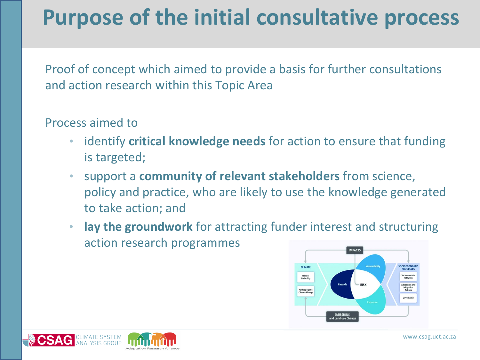# **Purpose of the initial consultative process**

Proof of concept which aimed to provide a basis for further consultations and action research within this Topic Area

#### Process aimed to

- identify **critical knowledge needs** for action to ensure that funding is targeted;
- support a **community of relevant stakeholders** from science, policy and practice, who are likely to use the knowledge generated to take action; and
- **lay the groundwork** for attracting funder interest and structuring action research programmes



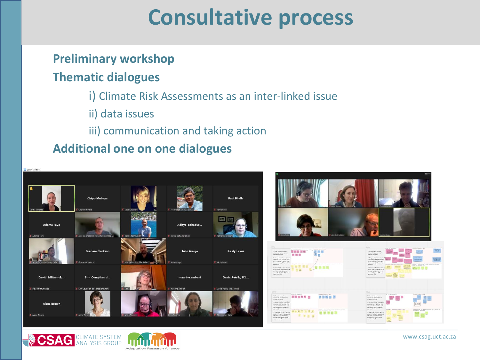## **Consultative process**

### **Preliminary workshop**

#### **Thematic dialogues**

- i) Climate Risk Assessments as an inter-linked issue
- ii) data issues
- iii) communication and taking action

#### **Additional one on one dialogues**



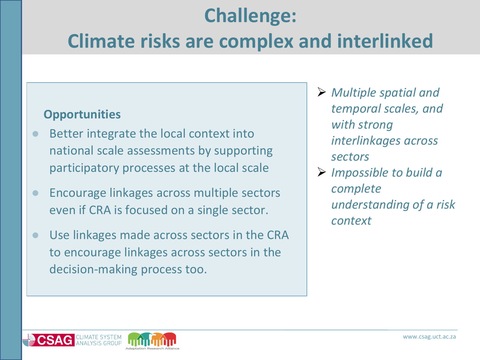## **Challenge:**

### **Climate risks are complex and interlinked**

- Better integrate the local context into national scale assessments by supporting participatory processes at the local scale
- Encourage linkages across multiple sectors even if CRA is focused on a single sector.
- Use linkages made across sectors in the CRA to encourage linkages across sectors in the decision-making process too.
- ➢ *Multiple spatial and temporal scales, and with strong interlinkages across sectors*
- ➢ *Impossible to build a complete understanding of a risk context*

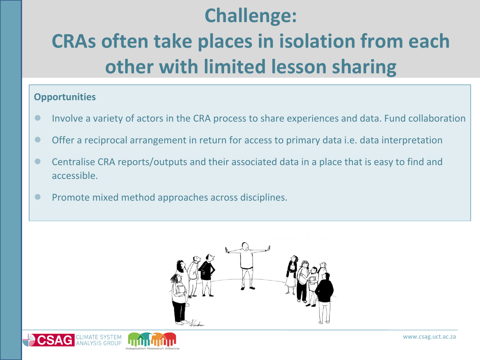### **Challenge:**

# **CRAs often take places in isolation from each other with limited lesson sharing**

- Involve a variety of actors in the CRA process to share experiences and data. Fund collaboration
- Offer a reciprocal arrangement in return for access to primary data i.e. data interpretation
- Centralise CRA reports/outputs and their associated data in a place that is easy to find and accessible.
- Promote mixed method approaches across disciplines.



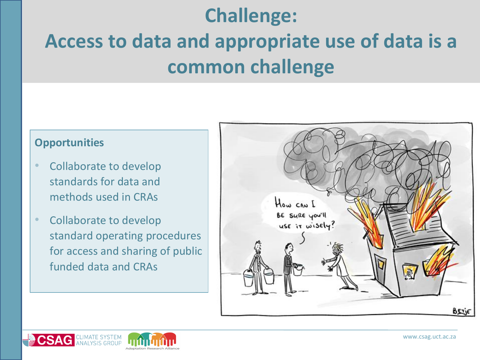### **Challenge:**

# **Access to data and appropriate use of data is a common challenge**

- Collaborate to develop standards for data and methods used in CRAs
- Collaborate to develop standard operating procedures for access and sharing of public funded data and CRAs



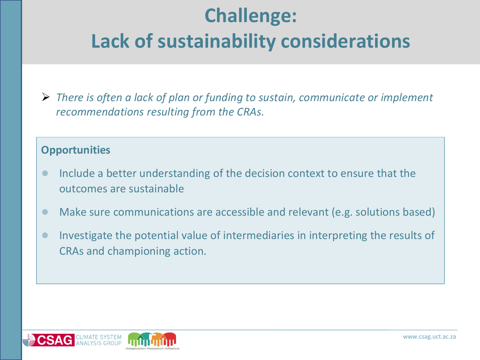# **Challenge: Lack of sustainability considerations**

➢ *There is often a lack of plan or funding to sustain, communicate or implement recommendations resulting from the CRAs.*

- Include a better understanding of the decision context to ensure that the outcomes are sustainable
- Make sure communications are accessible and relevant (e.g. solutions based)
- Investigate the potential value of intermediaries in interpreting the results of CRAs and championing action.

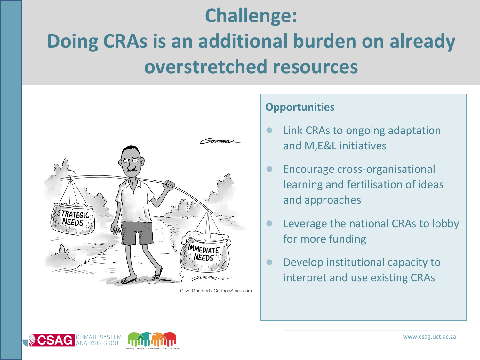# **Challenge: Doing CRAs is an additional burden on already**

**overstretched resources**



Clive Goddard / CartoonStock.com

- Link CRAs to ongoing adaptation and M,E&L initiatives
- **Encourage cross-organisational** learning and fertilisation of ideas and approaches
- Leverage the national CRAs to lobby for more funding
- Develop institutional capacity to interpret and use existing CRAs

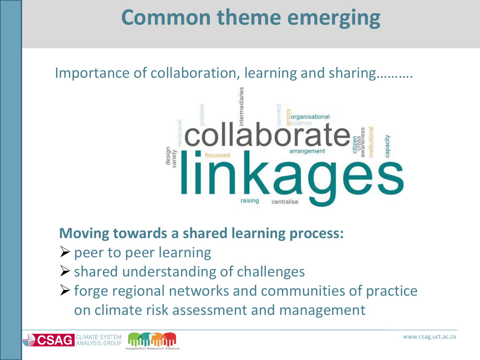# **Common theme emerging**

Importance of collaboration, learning and sharing……….



**Moving towards a shared learning process:**

- $\rho$  peer to peer learning
- ➢shared understanding of challenges
- $\triangleright$  forge regional networks and communities of practice on climate risk assessment and management